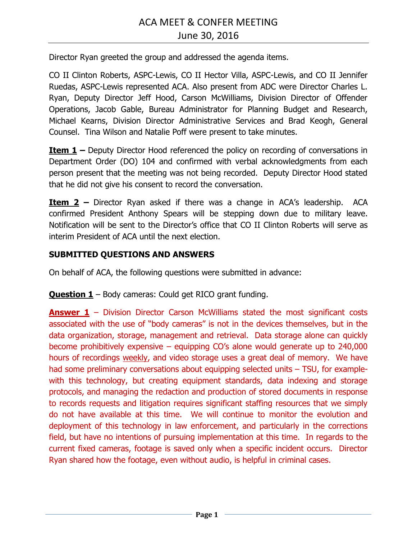Director Ryan greeted the group and addressed the agenda items.

CO II Clinton Roberts, ASPC-Lewis, CO II Hector Villa, ASPC-Lewis, and CO II Jennifer Ruedas, ASPC-Lewis represented ACA. Also present from ADC were Director Charles L. Ryan, Deputy Director Jeff Hood, Carson McWilliams, Division Director of Offender Operations, Jacob Gable, Bureau Administrator for Planning Budget and Research, Michael Kearns, Division Director Administrative Services and Brad Keogh, General Counsel. Tina Wilson and Natalie Poff were present to take minutes.

**Item 1 –** Deputy Director Hood referenced the policy on recording of conversations in Department Order (DO) 104 and confirmed with verbal acknowledgments from each person present that the meeting was not being recorded. Deputy Director Hood stated that he did not give his consent to record the conversation.

**Item 2** – Director Ryan asked if there was a change in ACA's leadership. ACA confirmed President Anthony Spears will be stepping down due to military leave. Notification will be sent to the Director's office that CO II Clinton Roberts will serve as interim President of ACA until the next election.

## **SUBMITTED QUESTIONS AND ANSWERS**

On behalf of ACA, the following questions were submitted in advance:

**Question 1** – Body cameras: Could get RICO grant funding.

**Answer 1** – Division Director Carson McWilliams stated the most significant costs associated with the use of "body cameras" is not in the devices themselves, but in the data organization, storage, management and retrieval. Data storage alone can quickly become prohibitively expensive – equipping CO's alone would generate up to 240,000 hours of recordings weekly, and video storage uses a great deal of memory. We have had some preliminary conversations about equipping selected units – TSU, for examplewith this technology, but creating equipment standards, data indexing and storage protocols, and managing the redaction and production of stored documents in response to records requests and litigation requires significant staffing resources that we simply do not have available at this time. We will continue to monitor the evolution and deployment of this technology in law enforcement, and particularly in the corrections field, but have no intentions of pursuing implementation at this time. In regards to the current fixed cameras, footage is saved only when a specific incident occurs. Director Ryan shared how the footage, even without audio, is helpful in criminal cases.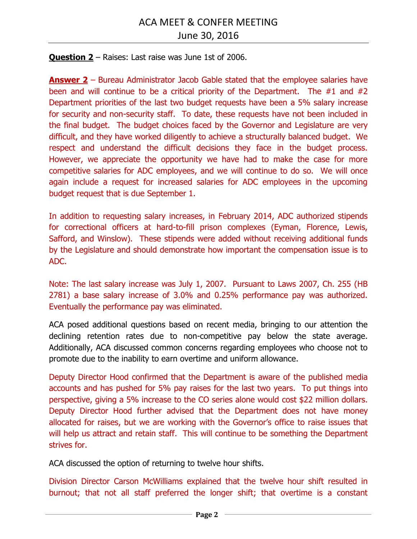**Question 2** – Raises: Last raise was June 1st of 2006.

**Answer 2** – Bureau Administrator Jacob Gable stated that the employee salaries have been and will continue to be a critical priority of the Department. The #1 and #2 Department priorities of the last two budget requests have been a 5% salary increase for security and non-security staff. To date, these requests have not been included in the final budget. The budget choices faced by the Governor and Legislature are very difficult, and they have worked diligently to achieve a structurally balanced budget. We respect and understand the difficult decisions they face in the budget process. However, we appreciate the opportunity we have had to make the case for more competitive salaries for ADC employees, and we will continue to do so. We will once again include a request for increased salaries for ADC employees in the upcoming budget request that is due September 1.

In addition to requesting salary increases, in February 2014, ADC authorized stipends for correctional officers at hard-to-fill prison complexes (Eyman, Florence, Lewis, Safford, and Winslow). These stipends were added without receiving additional funds by the Legislature and should demonstrate how important the compensation issue is to ADC.

Note: The last salary increase was July 1, 2007. Pursuant to Laws 2007, Ch. 255 (HB 2781) a base salary increase of 3.0% and 0.25% performance pay was authorized. Eventually the performance pay was eliminated.

ACA posed additional questions based on recent media, bringing to our attention the declining retention rates due to non-competitive pay below the state average. Additionally, ACA discussed common concerns regarding employees who choose not to promote due to the inability to earn overtime and uniform allowance.

Deputy Director Hood confirmed that the Department is aware of the published media accounts and has pushed for 5% pay raises for the last two years. To put things into perspective, giving a 5% increase to the CO series alone would cost \$22 million dollars. Deputy Director Hood further advised that the Department does not have money allocated for raises, but we are working with the Governor's office to raise issues that will help us attract and retain staff. This will continue to be something the Department strives for.

ACA discussed the option of returning to twelve hour shifts.

Division Director Carson McWilliams explained that the twelve hour shift resulted in burnout; that not all staff preferred the longer shift; that overtime is a constant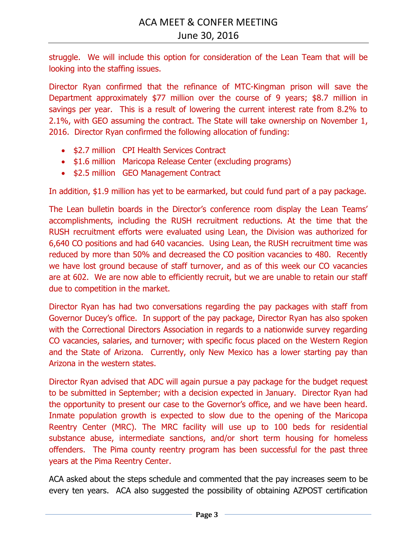struggle. We will include this option for consideration of the Lean Team that will be looking into the staffing issues.

Director Ryan confirmed that the refinance of MTC-Kingman prison will save the Department approximately \$77 million over the course of 9 years; \$8.7 million in savings per year. This is a result of lowering the current interest rate from 8.2% to 2.1%, with GEO assuming the contract. The State will take ownership on November 1, 2016. Director Ryan confirmed the following allocation of funding:

- \$2.7 million CPI Health Services Contract
- \$1.6 million Maricopa Release Center (excluding programs)
- \$2.5 million GEO Management Contract

In addition, \$1.9 million has yet to be earmarked, but could fund part of a pay package.

The Lean bulletin boards in the Director's conference room display the Lean Teams' accomplishments, including the RUSH recruitment reductions. At the time that the RUSH recruitment efforts were evaluated using Lean, the Division was authorized for 6,640 CO positions and had 640 vacancies. Using Lean, the RUSH recruitment time was reduced by more than 50% and decreased the CO position vacancies to 480. Recently we have lost ground because of staff turnover, and as of this week our CO vacancies are at 602. We are now able to efficiently recruit, but we are unable to retain our staff due to competition in the market.

Director Ryan has had two conversations regarding the pay packages with staff from Governor Ducey's office. In support of the pay package, Director Ryan has also spoken with the Correctional Directors Association in regards to a nationwide survey regarding CO vacancies, salaries, and turnover; with specific focus placed on the Western Region and the State of Arizona. Currently, only New Mexico has a lower starting pay than Arizona in the western states.

Director Ryan advised that ADC will again pursue a pay package for the budget request to be submitted in September; with a decision expected in January. Director Ryan had the opportunity to present our case to the Governor's office, and we have been heard. Inmate population growth is expected to slow due to the opening of the Maricopa Reentry Center (MRC). The MRC facility will use up to 100 beds for residential substance abuse, intermediate sanctions, and/or short term housing for homeless offenders. The Pima county reentry program has been successful for the past three years at the Pima Reentry Center.

ACA asked about the steps schedule and commented that the pay increases seem to be every ten years. ACA also suggested the possibility of obtaining AZPOST certification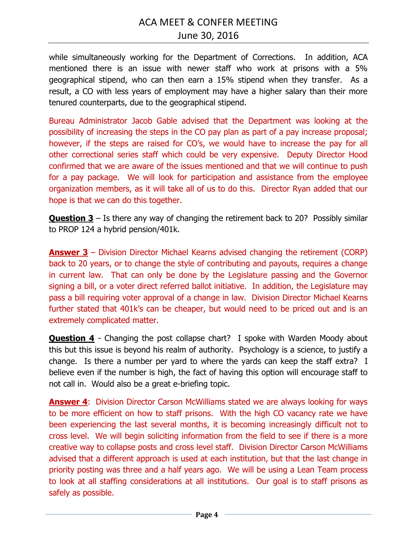while simultaneously working for the Department of Corrections. In addition, ACA mentioned there is an issue with newer staff who work at prisons with a 5% geographical stipend, who can then earn a 15% stipend when they transfer. As a result, a CO with less years of employment may have a higher salary than their more tenured counterparts, due to the geographical stipend.

Bureau Administrator Jacob Gable advised that the Department was looking at the possibility of increasing the steps in the CO pay plan as part of a pay increase proposal; however, if the steps are raised for CO's, we would have to increase the pay for all other correctional series staff which could be very expensive. Deputy Director Hood confirmed that we are aware of the issues mentioned and that we will continue to push for a pay package. We will look for participation and assistance from the employee organization members, as it will take all of us to do this. Director Ryan added that our hope is that we can do this together.

**Question 3** – Is there any way of changing the retirement back to 20? Possibly similar to PROP 124 a hybrid pension/401k.

**Answer 3** – Division Director Michael Kearns advised changing the retirement (CORP) back to 20 years, or to change the style of contributing and payouts, requires a change in current law. That can only be done by the Legislature passing and the Governor signing a bill, or a voter direct referred ballot initiative. In addition, the Legislature may pass a bill requiring voter approval of a change in law. Division Director Michael Kearns further stated that 401k's can be cheaper, but would need to be priced out and is an extremely complicated matter.

**Question 4** - Changing the post collapse chart? I spoke with Warden Moody about this but this issue is beyond his realm of authority. Psychology is a science, to justify a change. Is there a number per yard to where the yards can keep the staff extra? I believe even if the number is high, the fact of having this option will encourage staff to not call in. Would also be a great e-briefing topic.

**Answer 4:** Division Director Carson McWilliams stated we are always looking for ways to be more efficient on how to staff prisons. With the high CO vacancy rate we have been experiencing the last several months, it is becoming increasingly difficult not to cross level. We will begin soliciting information from the field to see if there is a more creative way to collapse posts and cross level staff. Division Director Carson McWilliams advised that a different approach is used at each institution, but that the last change in priority posting was three and a half years ago. We will be using a Lean Team process to look at all staffing considerations at all institutions. Our goal is to staff prisons as safely as possible.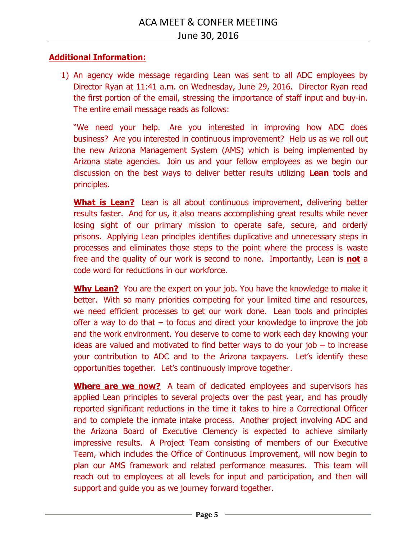## **Additional Information:**

1) An agency wide message regarding Lean was sent to all ADC employees by Director Ryan at 11:41 a.m. on Wednesday, June 29, 2016. Director Ryan read the first portion of the email, stressing the importance of staff input and buy-in. The entire email message reads as follows:

"We need your help. Are you interested in improving how ADC does business? Are you interested in continuous improvement? Help us as we roll out the new Arizona Management System (AMS) which is being implemented by Arizona state agencies. Join us and your fellow employees as we begin our discussion on the best ways to deliver better results utilizing **Lean** tools and principles.

**What is Lean?** Lean is all about continuous improvement, delivering better results faster. And for us, it also means accomplishing great results while never losing sight of our primary mission to operate safe, secure, and orderly prisons. Applying Lean principles identifies duplicative and unnecessary steps in processes and eliminates those steps to the point where the process is waste free and the quality of our work is second to none. Importantly, Lean is **not** a code word for reductions in our workforce.

**Why Lean?** You are the expert on your job. You have the knowledge to make it better. With so many priorities competing for your limited time and resources, we need efficient processes to get our work done. Lean tools and principles offer a way to do that – to focus and direct your knowledge to improve the job and the work environment. You deserve to come to work each day knowing your ideas are valued and motivated to find better ways to do your job  $-$  to increase your contribution to ADC and to the Arizona taxpayers. Let's identify these opportunities together. Let's continuously improve together.

**Where are we now?** A team of dedicated employees and supervisors has applied Lean principles to several projects over the past year, and has proudly reported significant reductions in the time it takes to hire a Correctional Officer and to complete the inmate intake process. Another project involving ADC and the Arizona Board of Executive Clemency is expected to achieve similarly impressive results. A Project Team consisting of members of our Executive Team, which includes the Office of Continuous Improvement, will now begin to plan our AMS framework and related performance measures. This team will reach out to employees at all levels for input and participation, and then will support and guide you as we journey forward together.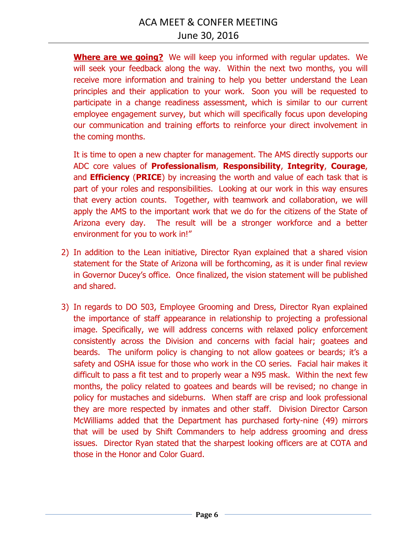**Where are we going?** We will keep you informed with regular updates. We will seek your feedback along the way. Within the next two months, you will receive more information and training to help you better understand the Lean principles and their application to your work. Soon you will be requested to participate in a change readiness assessment, which is similar to our current employee engagement survey, but which will specifically focus upon developing our communication and training efforts to reinforce your direct involvement in the coming months.

It is time to open a new chapter for management. The AMS directly supports our ADC core values of **Professionalism**, **Responsibility**, **Integrity**, **Courage**, and **Efficiency** (**PRICE**) by increasing the worth and value of each task that is part of your roles and responsibilities. Looking at our work in this way ensures that every action counts. Together, with teamwork and collaboration, we will apply the AMS to the important work that we do for the citizens of the State of Arizona every day. The result will be a stronger workforce and a better environment for you to work in!"

- 2) In addition to the Lean initiative, Director Ryan explained that a shared vision statement for the State of Arizona will be forthcoming, as it is under final review in Governor Ducey's office. Once finalized, the vision statement will be published and shared.
- 3) In regards to DO 503, Employee Grooming and Dress, Director Ryan explained the importance of staff appearance in relationship to projecting a professional image. Specifically, we will address concerns with relaxed policy enforcement consistently across the Division and concerns with facial hair; goatees and beards. The uniform policy is changing to not allow goatees or beards; it's a safety and OSHA issue for those who work in the CO series. Facial hair makes it difficult to pass a fit test and to properly wear a N95 mask. Within the next few months, the policy related to goatees and beards will be revised; no change in policy for mustaches and sideburns. When staff are crisp and look professional they are more respected by inmates and other staff. Division Director Carson McWilliams added that the Department has purchased forty-nine (49) mirrors that will be used by Shift Commanders to help address grooming and dress issues. Director Ryan stated that the sharpest looking officers are at COTA and those in the Honor and Color Guard.